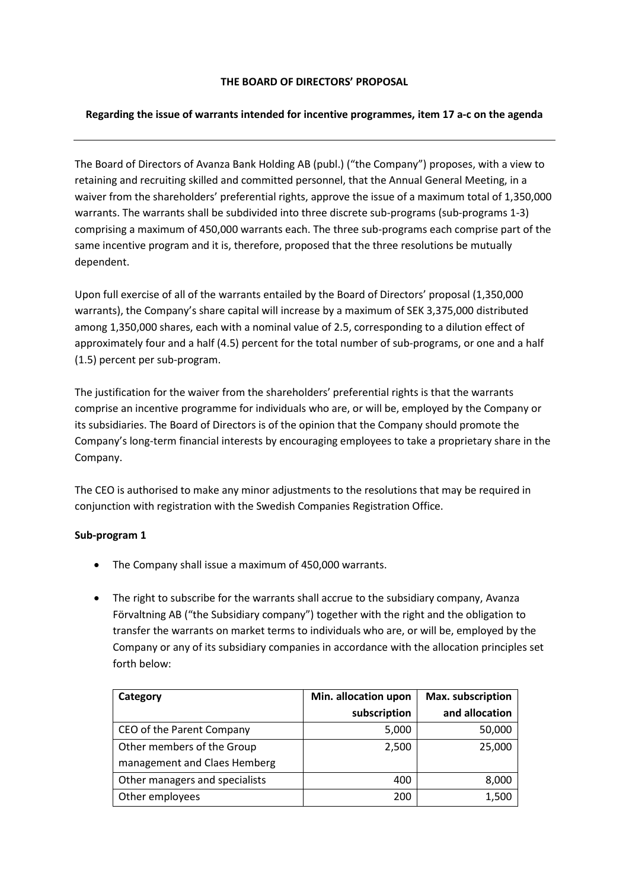## **THE BOARD OF DIRECTORS' PROPOSAL**

## **Regarding the issue of warrants intended for incentive programmes, item 17 a-c on the agenda**

The Board of Directors of Avanza Bank Holding AB (publ.) ("the Company") proposes, with a view to retaining and recruiting skilled and committed personnel, that the Annual General Meeting, in a waiver from the shareholders' preferential rights, approve the issue of a maximum total of 1,350,000 warrants. The warrants shall be subdivided into three discrete sub-programs (sub-programs 1-3) comprising a maximum of 450,000 warrants each. The three sub-programs each comprise part of the same incentive program and it is, therefore, proposed that the three resolutions be mutually dependent.

Upon full exercise of all of the warrants entailed by the Board of Directors' proposal (1,350,000 warrants), the Company's share capital will increase by a maximum of SEK 3,375,000 distributed among 1,350,000 shares, each with a nominal value of 2.5, corresponding to a dilution effect of approximately four and a half (4.5) percent for the total number of sub-programs, or one and a half (1.5) percent per sub-program.

The justification for the waiver from the shareholders' preferential rights is that the warrants comprise an incentive programme for individuals who are, or will be, employed by the Company or its subsidiaries. The Board of Directors is of the opinion that the Company should promote the Company's long-term financial interests by encouraging employees to take a proprietary share in the Company.

The CEO is authorised to make any minor adjustments to the resolutions that may be required in conjunction with registration with the Swedish Companies Registration Office.

#### **Sub-program 1**

- The Company shall issue a maximum of 450,000 warrants.
- The right to subscribe for the warrants shall accrue to the subsidiary company, Avanza Förvaltning AB ("the Subsidiary company") together with the right and the obligation to transfer the warrants on market terms to individuals who are, or will be, employed by the Company or any of its subsidiary companies in accordance with the allocation principles set forth below:

| Category                       | Min. allocation upon | Max. subscription |
|--------------------------------|----------------------|-------------------|
|                                | subscription         | and allocation    |
| CEO of the Parent Company      | 5,000                | 50,000            |
| Other members of the Group     | 2,500                | 25,000            |
| management and Claes Hemberg   |                      |                   |
| Other managers and specialists | 400                  | 8,000             |
| Other employees                | 200                  | 1,500             |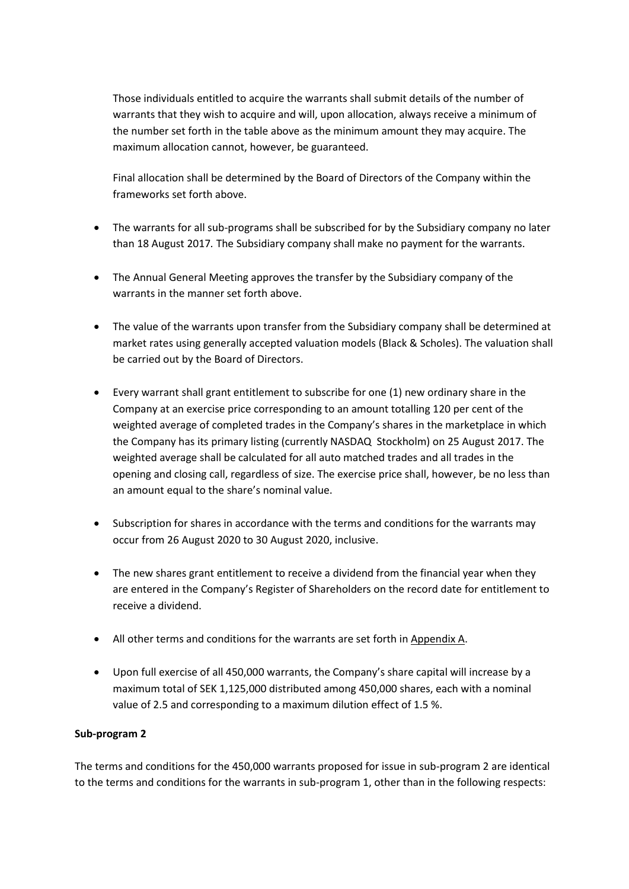Those individuals entitled to acquire the warrants shall submit details of the number of warrants that they wish to acquire and will, upon allocation, always receive a minimum of the number set forth in the table above as the minimum amount they may acquire. The maximum allocation cannot, however, be guaranteed.

Final allocation shall be determined by the Board of Directors of the Company within the frameworks set forth above.

- The warrants for all sub-programs shall be subscribed for by the Subsidiary company no later than 18 August 2017*.* The Subsidiary company shall make no payment for the warrants.
- The Annual General Meeting approves the transfer by the Subsidiary company of the warrants in the manner set forth above.
- The value of the warrants upon transfer from the Subsidiary company shall be determined at market rates using generally accepted valuation models (Black & Scholes). The valuation shall be carried out by the Board of Directors.
- Every warrant shall grant entitlement to subscribe for one (1) new ordinary share in the Company at an exercise price corresponding to an amount totalling 120 per cent of the weighted average of completed trades in the Company's shares in the marketplace in which the Company has its primary listing (currently NASDAQ Stockholm) on 25 August 2017. The weighted average shall be calculated for all auto matched trades and all trades in the opening and closing call, regardless of size. The exercise price shall, however, be no less than an amount equal to the share's nominal value.
- Subscription for shares in accordance with the terms and conditions for the warrants may occur from 26 August 2020 to 30 August 2020, inclusive.
- The new shares grant entitlement to receive a dividend from the financial year when they are entered in the Company's Register of Shareholders on the record date for entitlement to receive a dividend.
- All other terms and conditions for the warrants are set forth in Appendix A.
- Upon full exercise of all 450,000 warrants, the Company's share capital will increase by a maximum total of SEK 1,125,000 distributed among 450,000 shares, each with a nominal value of 2.5 and corresponding to a maximum dilution effect of 1.5 %.

#### **Sub-program 2**

The terms and conditions for the 450,000 warrants proposed for issue in sub-program 2 are identical to the terms and conditions for the warrants in sub-program 1, other than in the following respects: